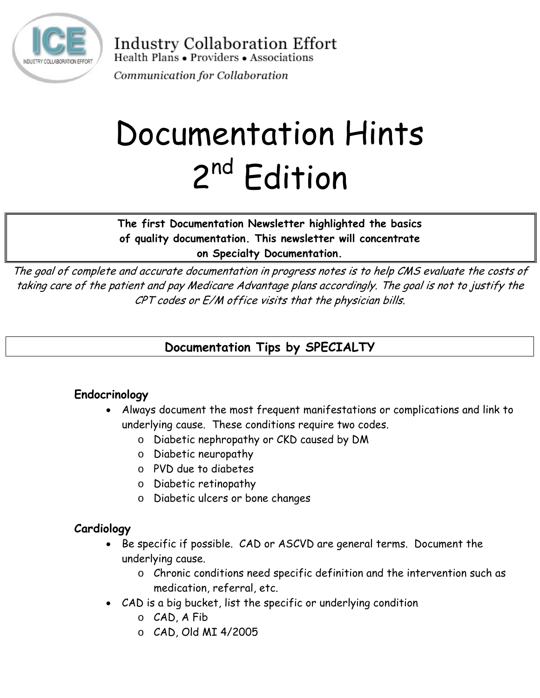

**Industry Collaboration Effort** Health Plans • Providers • Associations

Communication for Collaboration

# Documentation Hints 2<sup>nd</sup> Edition

**The first Documentation Newsletter highlighted the basics of quality documentation. This newsletter will concentrate on Specialty Documentation.** 

The goal of complete and accurate documentation in progress notes is to help CMS evaluate the costs of taking care of the patient and pay Medicare Advantage plans accordingly. The goal is not to justify the CPT codes or E/M office visits that the physician bills.

# **Documentation Tips by SPECIALTY**

## **Endocrinology**

- Always document the most frequent manifestations or complications and link to underlying cause. These conditions require two codes.
	- o Diabetic nephropathy or CKD caused by DM
	- o Diabetic neuropathy
	- o PVD due to diabetes
	- o Diabetic retinopathy
	- o Diabetic ulcers or bone changes

#### **Cardiology**

- Be specific if possible. CAD or ASCVD are general terms. Document the underlying cause.
	- o Chronic conditions need specific definition and the intervention such as medication, referral, etc.
- CAD is a big bucket, list the specific or underlying condition
	- o CAD, A Fib
	- o CAD, Old MI 4/2005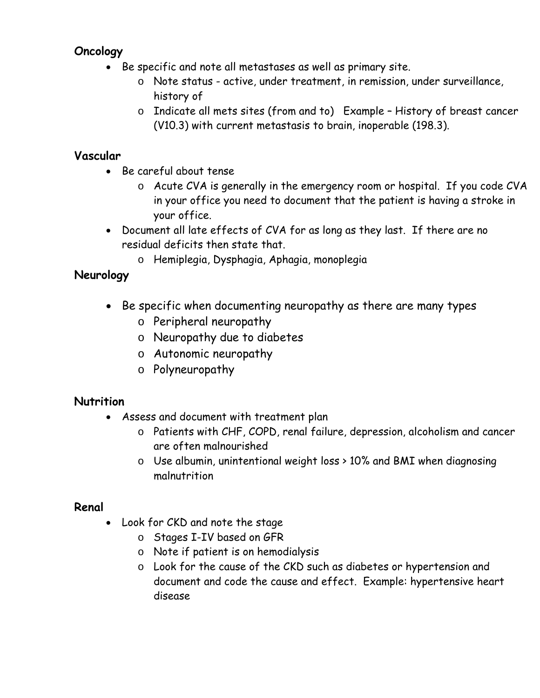## **Oncology**

- Be specific and note all metastases as well as primary site.
	- o Note status active, under treatment, in remission, under surveillance, history of
	- o Indicate all mets sites (from and to) Example History of breast cancer (V10.3) with current metastasis to brain, inoperable (198.3).

### **Vascular**

- Be careful about tense
	- o Acute CVA is generally in the emergency room or hospital. If you code CVA in your office you need to document that the patient is having a stroke in your office.
- Document all late effects of CVA for as long as they last. If there are no residual deficits then state that.
	- o Hemiplegia, Dysphagia, Aphagia, monoplegia

## **Neurology**

- Be specific when documenting neuropathy as there are many types
	- o Peripheral neuropathy
	- o Neuropathy due to diabetes
	- o Autonomic neuropathy
	- o Polyneuropathy

#### **Nutrition**

- Assess and document with treatment plan
	- o Patients with CHF, COPD, renal failure, depression, alcoholism and cancer are often malnourished
	- o Use albumin, unintentional weight loss > 10% and BMI when diagnosing malnutrition

#### **Renal**

- Look for CKD and note the stage
	- o Stages I-IV based on GFR
	- o Note if patient is on hemodialysis
	- o Look for the cause of the CKD such as diabetes or hypertension and document and code the cause and effect. Example: hypertensive heart disease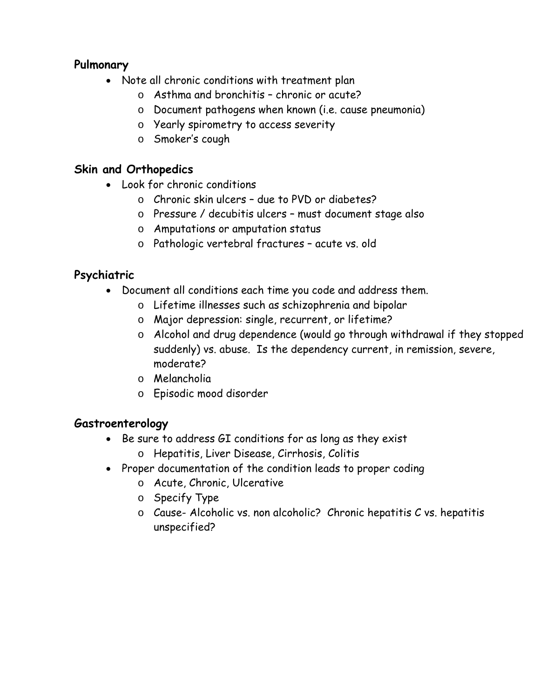#### **Pulmonary**

- Note all chronic conditions with treatment plan
	- o Asthma and bronchitis chronic or acute?
	- o Document pathogens when known (i.e. cause pneumonia)
	- o Yearly spirometry to access severity
	- o Smoker's cough

# **Skin and Orthopedics**

- Look for chronic conditions
	- o Chronic skin ulcers due to PVD or diabetes?
	- o Pressure / decubitis ulcers must document stage also
	- o Amputations or amputation status
	- o Pathologic vertebral fractures acute vs. old

# **Psychiatric**

- Document all conditions each time you code and address them.
	- o Lifetime illnesses such as schizophrenia and bipolar
	- o Major depression: single, recurrent, or lifetime?
	- o Alcohol and drug dependence (would go through withdrawal if they stopped suddenly) vs. abuse. Is the dependency current, in remission, severe, moderate?
	- o Melancholia
	- o Episodic mood disorder

# **Gastroenterology**

- Be sure to address GI conditions for as long as they exist
	- o Hepatitis, Liver Disease, Cirrhosis, Colitis
- Proper documentation of the condition leads to proper coding
	- o Acute, Chronic, Ulcerative
	- o Specify Type
	- o Cause- Alcoholic vs. non alcoholic? Chronic hepatitis C vs. hepatitis unspecified?